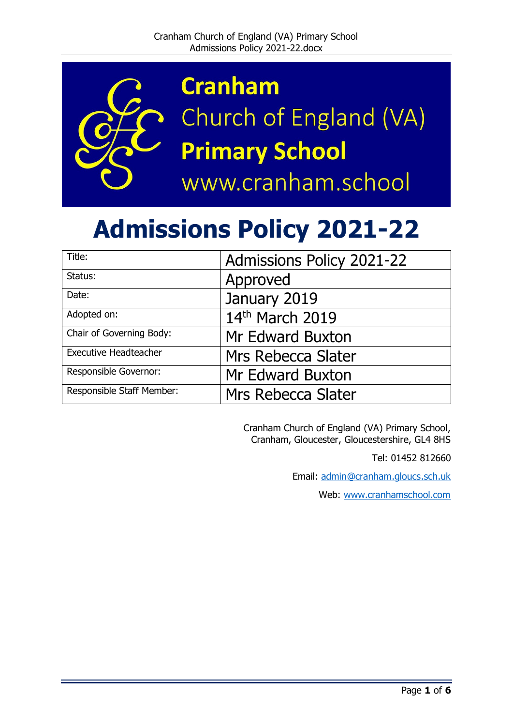

**Cranham** Church of England (VA) **Primary School** www.cranham.school

# **Admissions Policy 2021-22**

| Title:                       | <b>Admissions Policy 2021-22</b> |
|------------------------------|----------------------------------|
| Status:                      | Approved                         |
| Date:                        | January 2019                     |
| Adopted on:                  | 14th March 2019                  |
| Chair of Governing Body:     | Mr Edward Buxton                 |
| <b>Executive Headteacher</b> | Mrs Rebecca Slater               |
| Responsible Governor:        | Mr Edward Buxton                 |
| Responsible Staff Member:    | Mrs Rebecca Slater               |

Cranham Church of England (VA) Primary School, Cranham, Gloucester, Gloucestershire, GL4 8HS

Tel: 01452 812660

Email: [admin@cranham.gloucs.sch.uk](mailto:admin@cranham.gloucs.sch.uk)

Web: [www.cranhamschool.com](http://www.cranhamschool.com/)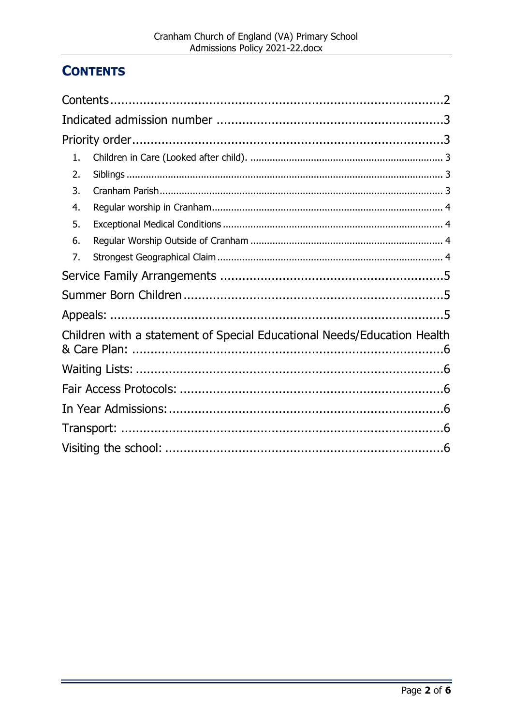## <span id="page-1-0"></span>**CONTENTS**

| 1.                                                                      |  |
|-------------------------------------------------------------------------|--|
| 2.                                                                      |  |
| 3.                                                                      |  |
| 4.                                                                      |  |
| 5.                                                                      |  |
| 6.                                                                      |  |
| 7.                                                                      |  |
|                                                                         |  |
|                                                                         |  |
|                                                                         |  |
| Children with a statement of Special Educational Needs/Education Health |  |
|                                                                         |  |
|                                                                         |  |
|                                                                         |  |
|                                                                         |  |
|                                                                         |  |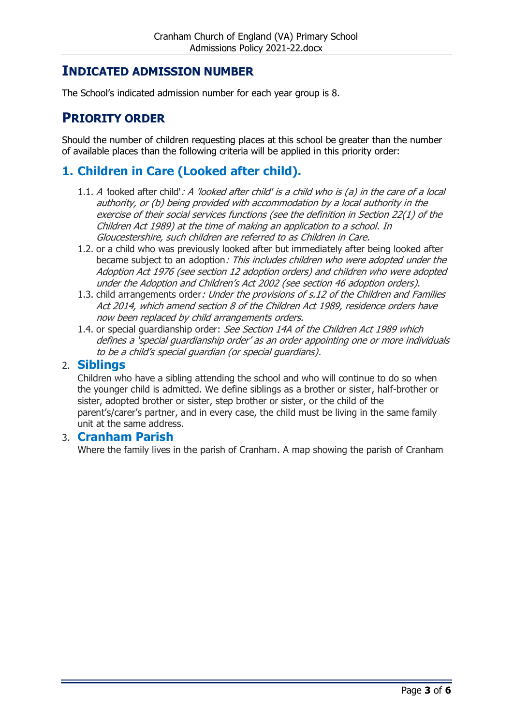#### <span id="page-2-0"></span>**INDICATED ADMISSION NUMBER**

The School's indicated admission number for each year group is 8.

#### <span id="page-2-1"></span>**PRIORITY ORDER**

Should the number of children requesting places at this school be greater than the number of available places than the following criteria will be applied in this priority order:

## <span id="page-2-2"></span>**1. Children in Care (Looked after child).**

- 1.1. A looked after child': A 'looked after child' is a child who is (a) in the care of a local authority, or (b) being provided with accommodation by a local authority in the exercise of their social services functions (see the definition in Section 22(1) of the Children Act 1989) at the time of making an application to a school. In Gloucestershire, such children are referred to as Children in Care.
- 1.2. or a child who was previously looked after but immediately after being looked after became subject to an adoption: This includes children who were adopted under the Adoption Act 1976 (see section 12 adoption orders) and children who were adopted under the Adoption and Children's Act 2002 (see section 46 adoption orders).
- 1.3. child arrangements order: Under the provisions of s.12 of the Children and Families Act 2014, which amend section 8 of the Children Act 1989, residence orders have now been replaced by child arrangements orders.
- 1.4. or special quardianship order: See Section 14A of the Children Act 1989 which defines a 'special guardianship order' as an order appointing one or more individuals to be a child's special guardian (or special guardians).

#### <span id="page-2-3"></span>2. **Siblings**

Children who have a sibling attending the school and who will continue to do so when the younger child is admitted. We define siblings as a brother or sister, half-brother or sister, adopted brother or sister, step brother or sister, or the child of the parent's/carer's partner, and in every case, the child must be living in the same family unit at the same address.

#### <span id="page-2-4"></span>3. **Cranham Parish**

Where the family lives in the parish of Cranham. A map showing the parish of Cranham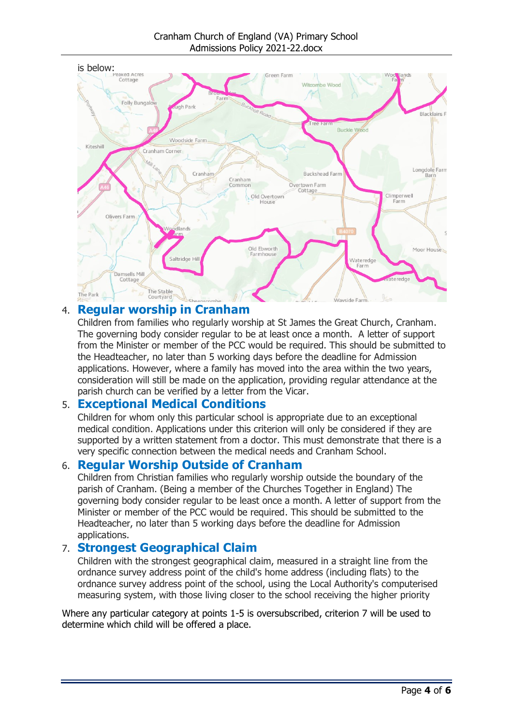Cranham Church of England (VA) Primary School Admissions Policy 2021-22.docx



#### <span id="page-3-0"></span>4. **Regular worship in Cranham**

Children from families who regularly worship at St James the Great Church, Cranham. The governing body consider regular to be at least once a month. A letter of support from the Minister or member of the PCC would be required. This should be submitted to the Headteacher, no later than 5 working days before the deadline for Admission applications. However, where a family has moved into the area within the two years, consideration will still be made on the application, providing regular attendance at the parish church can be verified by a letter from the Vicar.

#### <span id="page-3-1"></span>5. **Exceptional Medical Conditions**

Children for whom only this particular school is appropriate due to an exceptional medical condition. Applications under this criterion will only be considered if they are supported by a written statement from a doctor. This must demonstrate that there is a very specific connection between the medical needs and Cranham School.

#### <span id="page-3-2"></span>6. **Regular Worship Outside of Cranham**

Children from Christian families who regularly worship outside the boundary of the parish of Cranham. (Being a member of the Churches Together in England) The governing body consider regular to be least once a month. A letter of support from the Minister or member of the PCC would be required. This should be submitted to the Headteacher, no later than 5 working days before the deadline for Admission applications.

#### <span id="page-3-3"></span>7. **Strongest Geographical Claim**

Children with the strongest geographical claim, measured in a straight line from the ordnance survey address point of the child's home address (including flats) to the ordnance survey address point of the school, using the Local Authority's computerised measuring system, with those living closer to the school receiving the higher priority

Where any particular category at points 1-5 is oversubscribed, criterion 7 will be used to determine which child will be offered a place.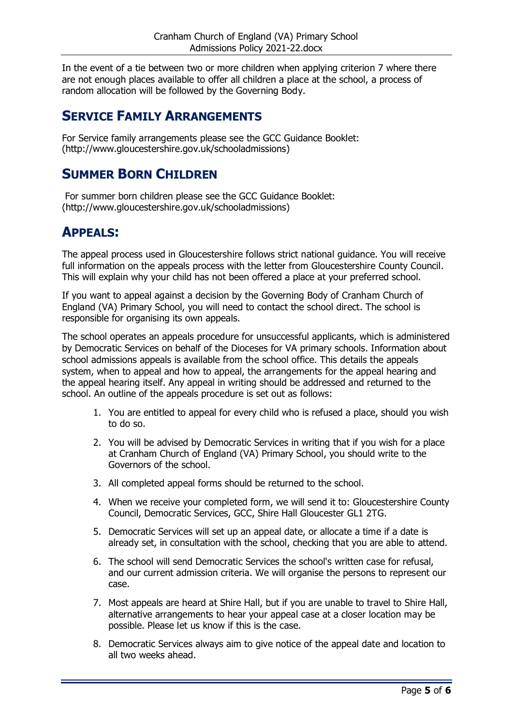In the event of a tie between two or more children when applying criterion 7 where there are not enough places available to offer all children a place at the school, a process of random allocation will be followed by the Governing Body.

## <span id="page-4-0"></span>**SERVICE FAMILY ARRANGEMENTS**

For Service family arrangements please see the GCC Guidance Booklet: (http://www.gloucestershire.gov.uk/schooladmissions)

## <span id="page-4-1"></span>**SUMMER BORN CHILDREN**

For summer born children please see the GCC Guidance Booklet: (http://www.gloucestershire.gov.uk/schooladmissions)

## <span id="page-4-2"></span>**APPEALS:**

The appeal process used in Gloucestershire follows strict national guidance. You will receive full information on the appeals process with the letter from Gloucestershire County Council. This will explain why your child has not been offered a place at your preferred school.

If you want to appeal against a decision by the Governing Body of Cranham Church of England (VA) Primary School, you will need to contact the school direct. The school is responsible for organising its own appeals.

The school operates an appeals procedure for unsuccessful applicants, which is administered by Democratic Services on behalf of the Dioceses for VA primary schools. Information about school admissions appeals is available from the school office. This details the appeals system, when to appeal and how to appeal, the arrangements for the appeal hearing and the appeal hearing itself. Any appeal in writing should be addressed and returned to the school. An outline of the appeals procedure is set out as follows:

- 1. You are entitled to appeal for every child who is refused a place, should you wish to do so.
- 2. You will be advised by Democratic Services in writing that if you wish for a place at Cranham Church of England (VA) Primary School, you should write to the Governors of the school.
- 3. All completed appeal forms should be returned to the school.
- 4. When we receive your completed form, we will send it to: Gloucestershire County Council, Democratic Services, GCC, Shire Hall Gloucester GL1 2TG.
- 5. Democratic Services will set up an appeal date, or allocate a time if a date is already set, in consultation with the school, checking that you are able to attend.
- 6. The school will send Democratic Services the school's written case for refusal, and our current admission criteria. We will organise the persons to represent our case.
- 7. Most appeals are heard at Shire Hall, but if you are unable to travel to Shire Hall, alternative arrangements to hear your appeal case at a closer location may be possible. Please let us know if this is the case.
- 8. Democratic Services always aim to give notice of the appeal date and location to all two weeks ahead.